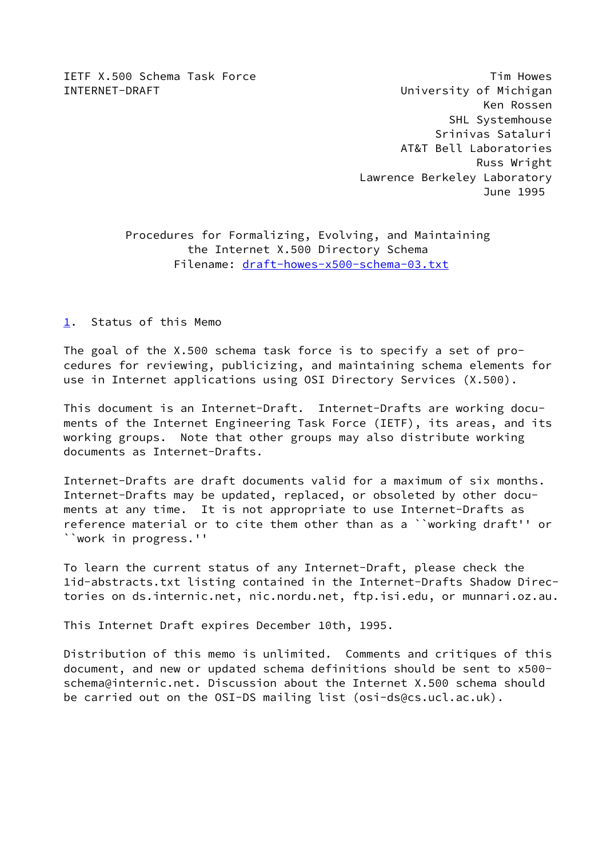IETF X.500 Schema Task Force Tim Howes

INTERNET-DRAFT **EXECUTE:** University of Michigan Ken Rossen SHL Systemhouse Srinivas Sataluri AT&T Bell Laboratories Russ Wright Lawrence Berkeley Laboratory June 1995

> Procedures for Formalizing, Evolving, and Maintaining the Internet X.500 Directory Schema Filename: [draft-howes-x500-schema-03.txt](https://datatracker.ietf.org/doc/pdf/draft-howes-x500-schema-03.txt)

<span id="page-0-0"></span>[1](#page-0-0). Status of this Memo

The goal of the X.500 schema task force is to specify a set of procedures for reviewing, publicizing, and maintaining schema elements for use in Internet applications using OSI Directory Services (X.500).

This document is an Internet-Draft. Internet-Drafts are working documents of the Internet Engineering Task Force (IETF), its areas, and its working groups. Note that other groups may also distribute working documents as Internet-Drafts.

Internet-Drafts are draft documents valid for a maximum of six months. Internet-Drafts may be updated, replaced, or obsoleted by other documents at any time. It is not appropriate to use Internet-Drafts as reference material or to cite them other than as a ``working draft'' or ``work in progress.''

To learn the current status of any Internet-Draft, please check the 1id-abstracts.txt listing contained in the Internet-Drafts Shadow Directories on ds.internic.net, nic.nordu.net, ftp.isi.edu, or munnari.oz.au.

This Internet Draft expires December 10th, 1995.

Distribution of this memo is unlimited. Comments and critiques of this document, and new or updated schema definitions should be sent to x500 schema@internic.net. Discussion about the Internet X.500 schema should be carried out on the OSI-DS mailing list (osi-ds@cs.ucl.ac.uk).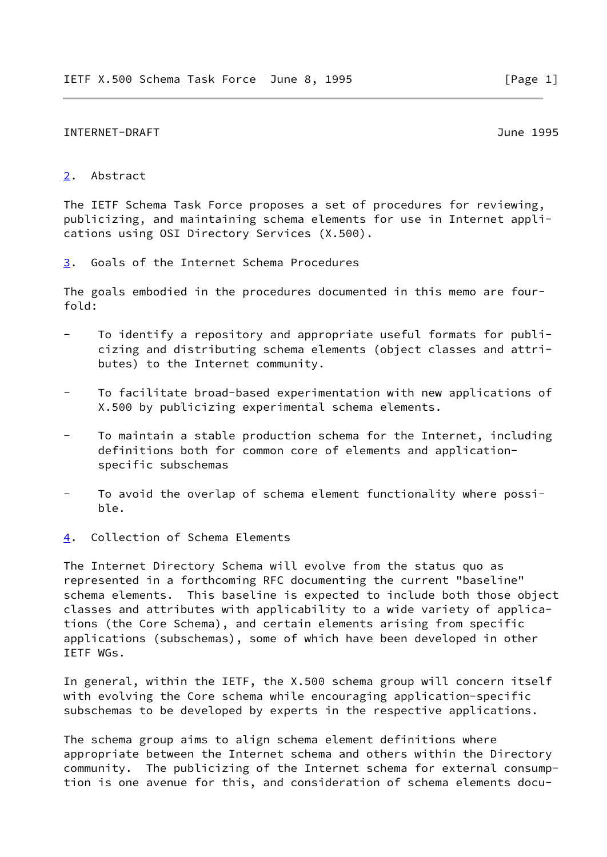#### INTERNET-DRAFT June 1995

## <span id="page-1-0"></span>[2](#page-1-0). Abstract

The IETF Schema Task Force proposes a set of procedures for reviewing, publicizing, and maintaining schema elements for use in Internet applications using OSI Directory Services (X.500).

<span id="page-1-1"></span>[3](#page-1-1). Goals of the Internet Schema Procedures

The goals embodied in the procedures documented in this memo are fourfold:

- To identify a repository and appropriate useful formats for publi cizing and distributing schema elements (object classes and attri butes) to the Internet community.
- To facilitate broad-based experimentation with new applications of X.500 by publicizing experimental schema elements.
- To maintain a stable production schema for the Internet, including definitions both for common core of elements and application specific subschemas
- To avoid the overlap of schema element functionality where possible.
- <span id="page-1-2"></span>[4](#page-1-2). Collection of Schema Elements

The Internet Directory Schema will evolve from the status quo as represented in a forthcoming RFC documenting the current "baseline" schema elements. This baseline is expected to include both those object classes and attributes with applicability to a wide variety of applications (the Core Schema), and certain elements arising from specific applications (subschemas), some of which have been developed in other IETF WGs.

In general, within the IETF, the X.500 schema group will concern itself with evolving the Core schema while encouraging application-specific subschemas to be developed by experts in the respective applications.

The schema group aims to align schema element definitions where appropriate between the Internet schema and others within the Directory community. The publicizing of the Internet schema for external consumption is one avenue for this, and consideration of schema elements docu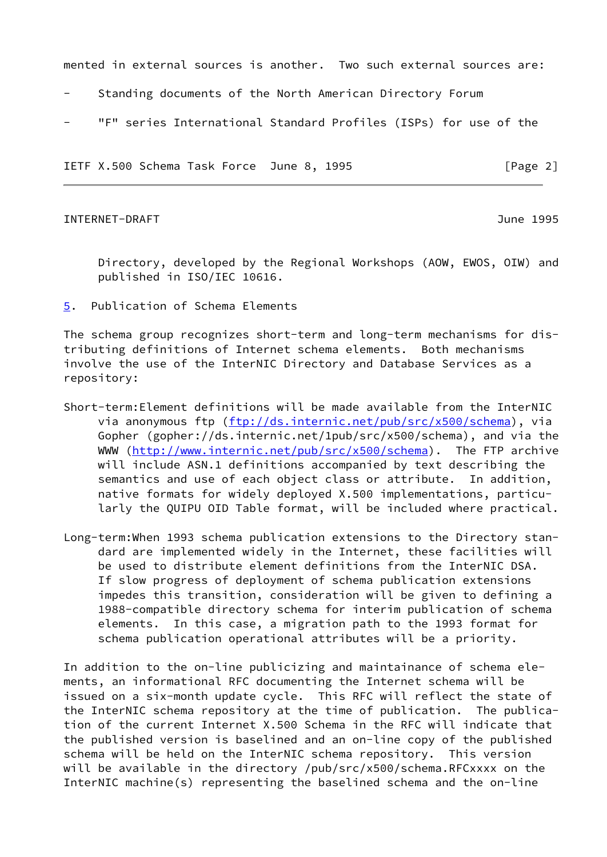mented in external sources is another. Two such external sources are:

- Standing documents of the North American Directory Forum
- "F" series International Standard Profiles (ISPs) for use of the

IETF X.500 Schema Task Force June 8, 1995 [Page 2]

### INTERNET-DRAFT June 1995

 Directory, developed by the Regional Workshops (AOW, EWOS, OIW) and published in ISO/IEC 10616.

<span id="page-2-0"></span>[5](#page-2-0). Publication of Schema Elements

The schema group recognizes short-term and long-term mechanisms for distributing definitions of Internet schema elements. Both mechanisms involve the use of the InterNIC Directory and Database Services as a repository:

- Short-term:Element definitions will be made available from the InterNIC via anonymous ftp [\(ftp://ds.internic.net/pub/src/x500/schema](ftp://ds.internic.net/pub/src/x500/schema)), via Gopher (gopher://ds.internic.net/1pub/src/x500/schema), and via the WWW (<http://www.internic.net/pub/src/x500/schema>). The FTP archive will include ASN.1 definitions accompanied by text describing the semantics and use of each object class or attribute. In addition, native formats for widely deployed X.500 implementations, particu larly the QUIPU OID Table format, will be included where practical.
- Long-term:When 1993 schema publication extensions to the Directory stan dard are implemented widely in the Internet, these facilities will be used to distribute element definitions from the InterNIC DSA. If slow progress of deployment of schema publication extensions impedes this transition, consideration will be given to defining a 1988-compatible directory schema for interim publication of schema elements. In this case, a migration path to the 1993 format for schema publication operational attributes will be a priority.

In addition to the on-line publicizing and maintainance of schema elements, an informational RFC documenting the Internet schema will be issued on a six-month update cycle. This RFC will reflect the state of the InterNIC schema repository at the time of publication. The publication of the current Internet X.500 Schema in the RFC will indicate that the published version is baselined and an on-line copy of the published schema will be held on the InterNIC schema repository. This version will be available in the directory /pub/src/x500/schema.RFCxxxx on the InterNIC machine(s) representing the baselined schema and the on-line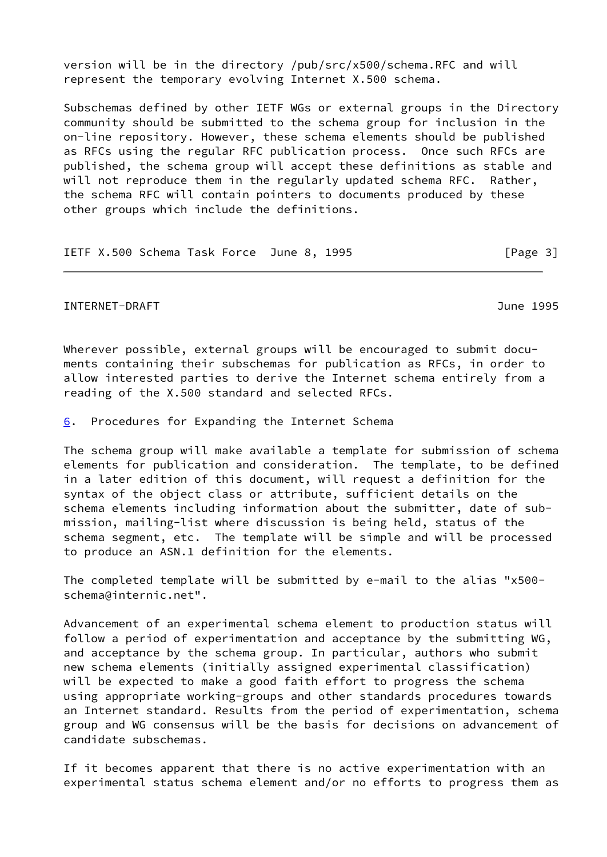version will be in the directory /pub/src/x500/schema.RFC and will represent the temporary evolving Internet X.500 schema.

Subschemas defined by other IETF WGs or external groups in the Directory community should be submitted to the schema group for inclusion in the on-line repository. However, these schema elements should be published as RFCs using the regular RFC publication process. Once such RFCs are published, the schema group will accept these definitions as stable and will not reproduce them in the regularly updated schema RFC. Rather, the schema RFC will contain pointers to documents produced by these other groups which include the definitions.

```
IETF X.500 Schema Task Force June 8, 1995 [Page 3]
```
## INTERNET-DRAFT June 1995

Wherever possible, external groups will be encouraged to submit documents containing their subschemas for publication as RFCs, in order to allow interested parties to derive the Internet schema entirely from a reading of the X.500 standard and selected RFCs.

<span id="page-3-0"></span>[6](#page-3-0). Procedures for Expanding the Internet Schema

The schema group will make available a template for submission of schema elements for publication and consideration. The template, to be defined in a later edition of this document, will request a definition for the syntax of the object class or attribute, sufficient details on the schema elements including information about the submitter, date of submission, mailing-list where discussion is being held, status of the schema segment, etc. The template will be simple and will be processed to produce an ASN.1 definition for the elements.

The completed template will be submitted by e-mail to the alias "x500 schema@internic.net".

Advancement of an experimental schema element to production status will follow a period of experimentation and acceptance by the submitting WG, and acceptance by the schema group. In particular, authors who submit new schema elements (initially assigned experimental classification) will be expected to make a good faith effort to progress the schema using appropriate working-groups and other standards procedures towards an Internet standard. Results from the period of experimentation, schema group and WG consensus will be the basis for decisions on advancement of candidate subschemas.

If it becomes apparent that there is no active experimentation with an experimental status schema element and/or no efforts to progress them as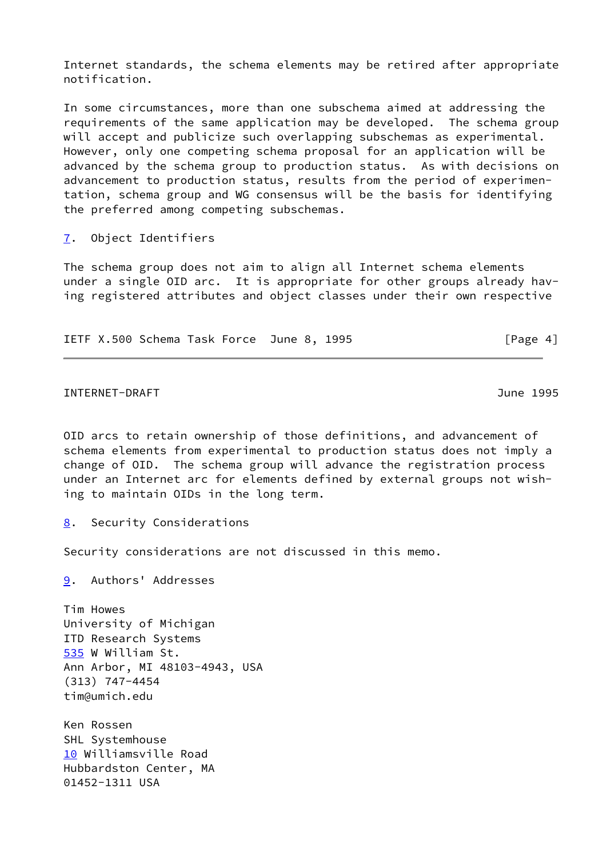Internet standards, the schema elements may be retired after appropriate notification.

In some circumstances, more than one subschema aimed at addressing the requirements of the same application may be developed. The schema group will accept and publicize such overlapping subschemas as experimental. However, only one competing schema proposal for an application will be advanced by the schema group to production status. As with decisions on advancement to production status, results from the period of experimentation, schema group and WG consensus will be the basis for identifying the preferred among competing subschemas.

# <span id="page-4-0"></span>[7](#page-4-0). Object Identifiers

The schema group does not aim to align all Internet schema elements under a single OID arc. It is appropriate for other groups already having registered attributes and object classes under their own respective

IETF X.500 Schema Task Force June 8, 1995 [Page 4]

INTERNET-DRAFT June 1995

OID arcs to retain ownership of those definitions, and advancement of schema elements from experimental to production status does not imply a change of OID. The schema group will advance the registration process under an Internet arc for elements defined by external groups not wishing to maintain OIDs in the long term.

<span id="page-4-1"></span>[8](#page-4-1). Security Considerations

Security considerations are not discussed in this memo.

<span id="page-4-2"></span>[9](#page-4-2). Authors' Addresses

<span id="page-4-3"></span>Tim Howes University of Michigan ITD Research Systems [535](#page-4-3) W William St. Ann Arbor, MI 48103-4943, USA (313) 747-4454 tim@umich.edu

<span id="page-4-4"></span>Ken Rossen SHL Systemhouse [10](#page-4-4) Williamsville Road Hubbardston Center, MA 01452-1311 USA